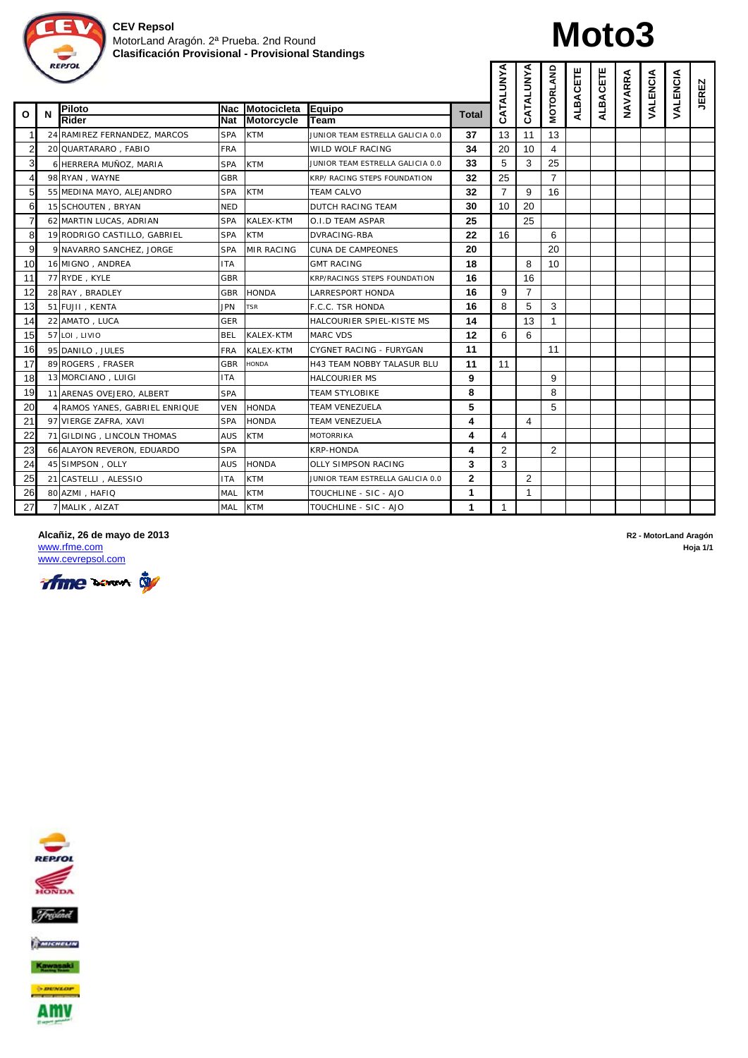

# **Moto3**

|                |   | <b>REPSOL</b>                  |            |                   |                                     |              | CATALUNYA      | CATALUNYA      | <b>MOTORLAND</b> | ALBACETE | <b>ALBACETE</b> | NAVARRA | VALENCIA | VALENCIA | <b>JEREZ</b> |
|----------------|---|--------------------------------|------------|-------------------|-------------------------------------|--------------|----------------|----------------|------------------|----------|-----------------|---------|----------|----------|--------------|
| Ο              | N | Piloto                         | Nac        | Motocicleta       | <b>Eauipo</b>                       | <b>Total</b> |                |                |                  |          |                 |         |          |          |              |
|                |   | <b>Rider</b>                   | <b>Nat</b> | <b>Motorcycle</b> | Team                                |              |                |                |                  |          |                 |         |          |          |              |
| $\overline{2}$ |   | 24 RAMIREZ FERNANDEZ, MARCOS   | <b>SPA</b> | <b>KTM</b>        | JUNIOR TEAM ESTRELLA GALICIA 0.0    | 37<br>34     | 13<br>20       | 11<br>10       | 13               |          |                 |         |          |          |              |
|                |   | 20 QUARTARARO, FABIO           | <b>FRA</b> |                   | WILD WOLF RACING                    |              |                |                | 4                |          |                 |         |          |          |              |
| 3              |   | 6 HERRERA MUÑOZ, MARIA         | <b>SPA</b> | <b>KTM</b>        | JUNIOR TEAM ESTRELLA GALICIA 0.0    | 33           | 5              | 3              | 25               |          |                 |         |          |          |              |
| $\overline{4}$ |   | 98 RYAN, WAYNE                 | <b>GBR</b> |                   | KRP/ RACING STEPS FOUNDATION        | 32           | 25             |                | $\overline{7}$   |          |                 |         |          |          |              |
| 5 <sub>5</sub> |   | 55 MEDINA MAYO, ALEJANDRO      | <b>SPA</b> | <b>KTM</b>        | <b>TEAM CALVO</b>                   | 32           | $\overline{7}$ | 9              | 16               |          |                 |         |          |          |              |
| 6              |   | 15 SCHOUTEN, BRYAN             | <b>NED</b> |                   | <b>DUTCH RACING TEAM</b>            | 30           | 10             | 20             |                  |          |                 |         |          |          |              |
| $\overline{7}$ |   | 62 MARTIN LUCAS, ADRIAN        | <b>SPA</b> | <b>KALEX-KTM</b>  | O.I.D TEAM ASPAR                    | 25           |                | 25             |                  |          |                 |         |          |          |              |
| 8              |   | 19 RODRIGO CASTILLO, GABRIEL   | <b>SPA</b> | <b>KTM</b>        | DVRACING-RBA                        | 22           | 16             |                | 6                |          |                 |         |          |          |              |
| 9              |   | 9 NAVARRO SANCHEZ, JORGE       | <b>SPA</b> | <b>MIR RACING</b> | <b>CUNA DE CAMPEONES</b>            | 20           |                |                | 20               |          |                 |         |          |          |              |
| 10             |   | 16 MIGNO, ANDREA               | <b>ITA</b> |                   | <b>GMT RACING</b>                   | 18           |                | 8              | 10               |          |                 |         |          |          |              |
| 11             |   | 77 RYDE, KYLE                  | <b>GBR</b> |                   | <b>KRP/RACINGS STEPS FOUNDATION</b> | 16           |                | 16             |                  |          |                 |         |          |          |              |
| 12             |   | 28 RAY, BRADLEY                | GBR        | <b>HONDA</b>      | LARRESPORT HONDA                    | 16           | 9              | $\overline{7}$ |                  |          |                 |         |          |          |              |
| 13             |   | 51 FUJII, KENTA                | <b>JPN</b> | <b>TSR</b>        | F.C.C. TSR HONDA                    | 16           | 8              | 5              | 3                |          |                 |         |          |          |              |
| 14             |   | 22 AMATO, LUCA                 | <b>GER</b> |                   | HALCOURIER SPIEL-KISTE MS           | 14           |                | 13             | $\mathbf{1}$     |          |                 |         |          |          |              |
| 15             |   | 57 LOI . LIVIO                 | <b>BEL</b> | <b>KALEX-KTM</b>  | <b>MARC VDS</b>                     | 12           | 6              | 6              |                  |          |                 |         |          |          |              |
| 16             |   | 95 DANILO, JULES               | <b>FRA</b> | KALEX-KTM         | CYGNET RACING - FURYGAN             | 11           |                |                | 11               |          |                 |         |          |          |              |
| 17             |   | 89 ROGERS, FRASER              | <b>GBR</b> | <b>HONDA</b>      | H43 TEAM NOBBY TALASUR BLU          | 11           | 11             |                |                  |          |                 |         |          |          |              |
| 18             |   | 13 MORCIANO, LUIGI             | <b>ITA</b> |                   | <b>HALCOURIER MS</b>                | 9            |                |                | 9                |          |                 |         |          |          |              |
| 19             |   | 11 ARENAS OVEJERO, ALBERT      | <b>SPA</b> |                   | <b>TEAM STYLOBIKE</b>               | 8            |                |                | 8                |          |                 |         |          |          |              |
| 20             |   | 4 RAMOS YANES, GABRIEL ENRIQUE | VEN        | <b>HONDA</b>      | TEAM VENEZUELA                      | 5            |                |                | 5                |          |                 |         |          |          |              |
| 21             |   | 97 VIERGE ZAFRA, XAVI          | <b>SPA</b> | <b>HONDA</b>      | TEAM VENEZUELA                      | 4            |                | 4              |                  |          |                 |         |          |          |              |
| 22             |   | 71 GILDING, LINCOLN THOMAS     | AUS        | <b>KTM</b>        | MOTORRIKA                           | 4            | 4              |                |                  |          |                 |         |          |          |              |
| 23             |   | 66 ALAYON REVERON, EDUARDO     | <b>SPA</b> |                   | <b>KRP-HONDA</b>                    | 4            | $\overline{2}$ |                | 2                |          |                 |         |          |          |              |
| 24             |   | 45 SIMPSON, OLLY               | AUS        | <b>HONDA</b>      | OLLY SIMPSON RACING                 | 3            | 3              |                |                  |          |                 |         |          |          |              |
| 25             |   | 21 CASTELLI, ALESSIO           | ITA        | <b>KTM</b>        | JUNIOR TEAM ESTRELLA GALICIA 0.0    | $\mathbf{2}$ |                | $\overline{2}$ |                  |          |                 |         |          |          |              |
| 26             |   | 80 AZMI, HAFIQ                 | MAL        | <b>KTM</b>        | TOUCHLINE - SIC - AJO               | 1            |                | 1              |                  |          |                 |         |          |          |              |
| 27             |   | 7 MALIK, AIZAT                 | MAL        | <b>KTM</b>        | TOUCHLINE - SIC - AJO               | 1            | $\mathbf{1}$   |                |                  |          |                 |         |          |          |              |

www.cevrepsol.com





**Alcañiz, 26 de mayo de 2013 R2 - MotorLand Aragón** www.rfme.com **Hoja 1/1**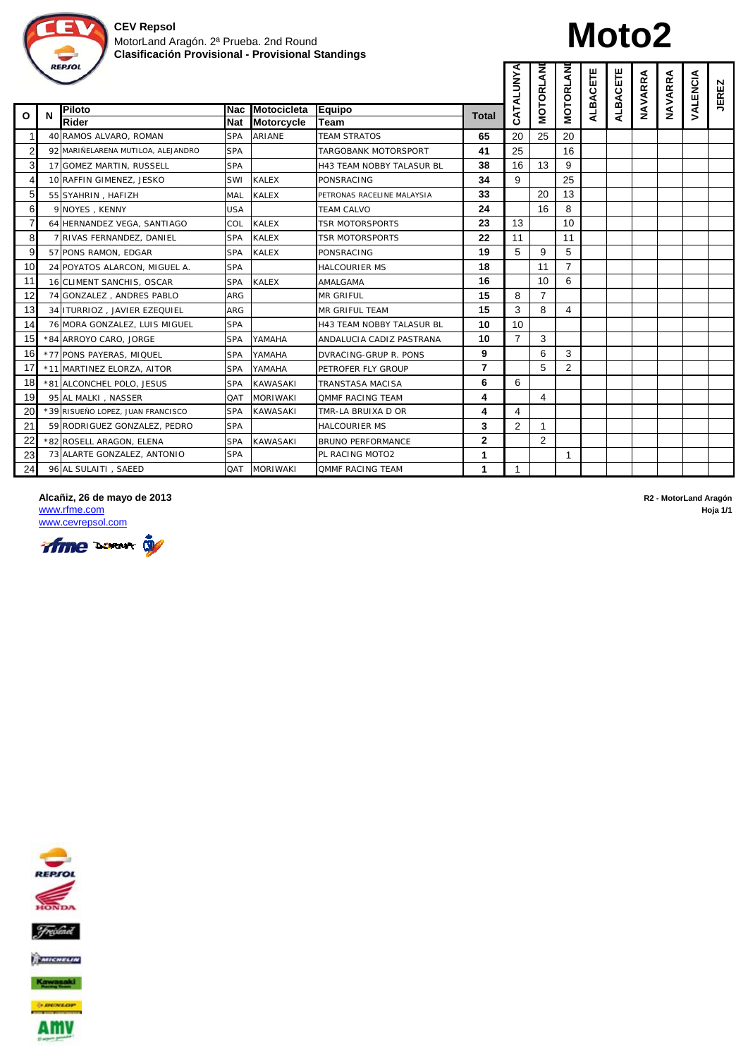

# **Moto2**

|                |   | <b>REPSOL</b>                      |            |                   |                                  |                | CATALUNYA      | MOTORLAN       | MOTORLAN       | ALBACETE | ALBACETE | NAVARRA | NAVARRA | VALENCIA | <b>JEREZ</b> |
|----------------|---|------------------------------------|------------|-------------------|----------------------------------|----------------|----------------|----------------|----------------|----------|----------|---------|---------|----------|--------------|
| O              | N | Piloto                             | lNac       | Motocicleta       | Equipo                           | <b>Total</b>   |                |                |                |          |          |         |         |          |              |
|                |   | <b>Rider</b>                       | <b>Nat</b> | <b>Motorcycle</b> | Team                             |                |                |                |                |          |          |         |         |          |              |
| 1              |   | 40 RAMOS ALVARO, ROMAN             | <b>SPA</b> | <b>ARIANE</b>     | <b>TEAM STRATOS</b>              | 65             | 20             | 25             | 20             |          |          |         |         |          |              |
| 2              |   | 92 MARIÑELARENA MUTILOA, ALEJANDRO | <b>SPA</b> |                   | TARGOBANK MOTORSPORT             | 41             | 25             |                | 16             |          |          |         |         |          |              |
| 3              |   | 17 GOMEZ MARTIN, RUSSELL           | <b>SPA</b> |                   | <b>H43 TEAM NOBBY TALASUR BL</b> | 38             | 16             | 13             | 9              |          |          |         |         |          |              |
| 4              |   | 10 RAFFIN GIMENEZ, JESKO           | SWI        | <b>KALEX</b>      | <b>PONSRACING</b>                | 34             | 9              |                | 25             |          |          |         |         |          |              |
| 5              |   | 55 SYAHRIN, HAFIZH                 | MAL        | <b>KALEX</b>      | PETRONAS RACELINE MALAYSIA       | 33             |                | 20             | 13             |          |          |         |         |          |              |
| 6              |   | 9 NOYES, KENNY                     | <b>USA</b> |                   | <b>TEAM CALVO</b>                | 24             |                | 16             | 8              |          |          |         |         |          |              |
| $\overline{7}$ |   | 64 HERNANDEZ VEGA, SANTIAGO        | COL        | <b>KALEX</b>      | TSR MOTORSPORTS                  | 23             | 13             |                | 10             |          |          |         |         |          |              |
| 8              |   | 7 RIVAS FERNANDEZ, DANIEL          | <b>SPA</b> | <b>KALEX</b>      | TSR MOTORSPORTS                  | 22             | 11             |                | 11             |          |          |         |         |          |              |
| 9              |   | 57 PONS RAMON, EDGAR               | <b>SPA</b> | <b>KALEX</b>      | PONSRACING                       | 19             | 5              | 9              | 5              |          |          |         |         |          |              |
| 10             |   | 24 POYATOS ALARCON, MIGUEL A.      | <b>SPA</b> |                   | <b>HALCOURIER MS</b>             | 18             |                | 11             | $\overline{7}$ |          |          |         |         |          |              |
| 11             |   | 16 CLIMENT SANCHIS, OSCAR          | <b>SPA</b> | <b>KALEX</b>      | AMALGAMA                         | 16             |                | 10             | 6              |          |          |         |         |          |              |
| 12             |   | 74 GONZALEZ, ANDRES PABLO          | <b>ARG</b> |                   | <b>MR GRIFUL</b>                 | 15             | 8              | $\overline{7}$ |                |          |          |         |         |          |              |
| 13             |   | 34 ITURRIOZ, JAVIER EZEQUIEL       | ARG        |                   | MR GRIFUL TEAM                   | 15             | 3              | 8              | 4              |          |          |         |         |          |              |
| 14             |   | 76 MORA GONZALEZ, LUIS MIGUEL      | <b>SPA</b> |                   | H43 TEAM NOBBY TALASUR BL        | 10             | 10             |                |                |          |          |         |         |          |              |
| 15             |   | *84 ARROYO CARO, JORGE             | <b>SPA</b> | YAMAHA            | ANDALUCIA CADIZ PASTRANA         | 10             | $\overline{7}$ | 3              |                |          |          |         |         |          |              |
| 16             |   | *77 PONS PAYERAS, MIQUEL           | <b>SPA</b> | YAMAHA            | DVRACING-GRUP R. PONS            | 9              |                | 6              | 3              |          |          |         |         |          |              |
| 17             |   | *11 MARTINEZ ELORZA, AITOR         | <b>SPA</b> | YAMAHA            | PETROFER FLY GROUP               | $\overline{7}$ |                | 5              | 2              |          |          |         |         |          |              |
| 18             |   | *81 ALCONCHEL POLO, JESUS          | <b>SPA</b> | <b>KAWASAKI</b>   | TRANSTASA MACISA                 | 6              | 6              |                |                |          |          |         |         |          |              |
| 19             |   | 95 AL MALKI, NASSER                | QAT        | <b>MORIWAKI</b>   | <b>OMMF RACING TEAM</b>          | 4              |                | $\overline{4}$ |                |          |          |         |         |          |              |
| 20             |   | *39 RISUEÑO LOPEZ, JUAN FRANCISCO  | <b>SPA</b> | <b>KAWASAKI</b>   | TMR-LA BRUIXA D OR               | 4              | 4              |                |                |          |          |         |         |          |              |
| 21             |   | 59 RODRIGUEZ GONZALEZ, PEDRO       | <b>SPA</b> |                   | <b>HALCOURIER MS</b>             | 3              | 2              | 1              |                |          |          |         |         |          |              |
| 22             |   | *82 ROSELL ARAGON, ELENA           | <b>SPA</b> | <b>KAWASAKI</b>   | <b>BRUNO PERFORMANCE</b>         | $\mathbf{2}$   |                | $\overline{2}$ |                |          |          |         |         |          |              |
| 23             |   | 73 ALARTE GONZALEZ, ANTONIO        | <b>SPA</b> |                   | PL RACING MOTO2                  | 1              |                |                | 1              |          |          |         |         |          |              |
| 24             |   | 96 AL SULAITI, SAEED               | QAT        | <b>MORIWAKI</b>   | <b>OMMF RACING TEAM</b>          | 1              | $\mathbf{1}$   |                |                |          |          |         |         |          |              |

**Alcañiz, 26 de mayo de 2013 R2 - MotorLand Aragón**

www.cevrepsol.com



www.rfme.com **Hoja 1/1**

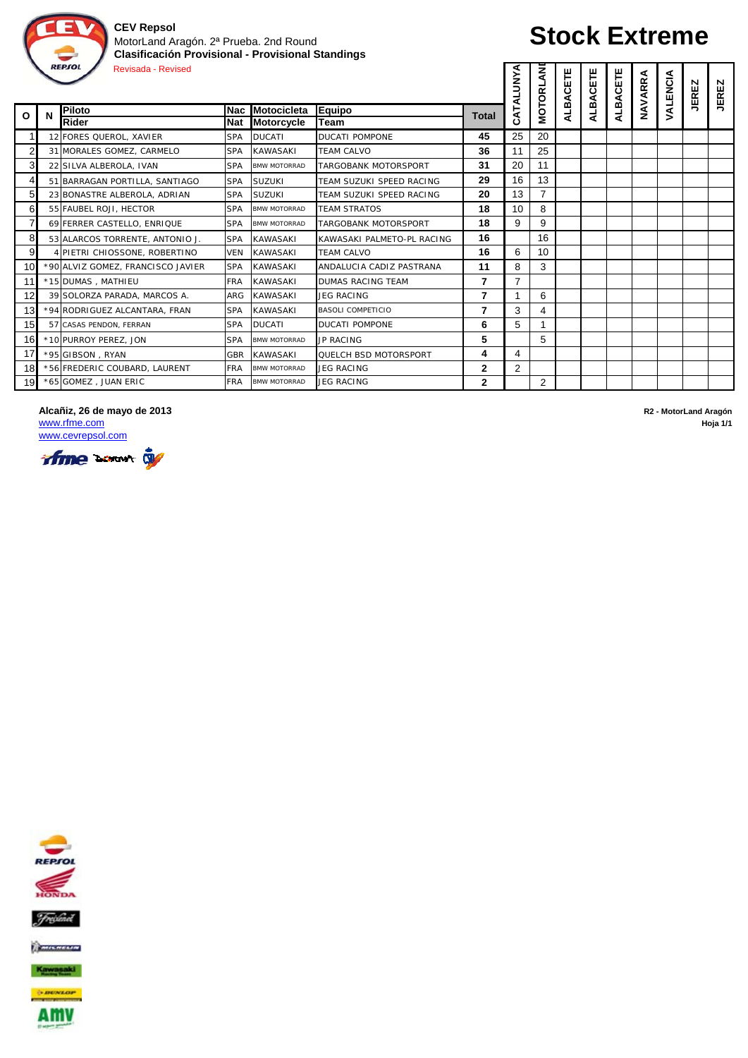

#### MotorLand Aragón. 2ª Prueba. 2nd Round **Clasificación Provisional - Provisional Standings** REPIOL Revisada - Revised

# **Stock Extreme**

**D**

|                |   | REPSOL<br><b>Revisada - Revised</b> |            |                     |                            |                | ⋖<br><b>ALUNY</b> | ξ<br><b>MOTORL</b> | CETE<br>⋖ | ALBACETE | ALBACETE | NAVARRA | VALENCIA | N<br><b>JERE</b> | <b>JEREZ</b> |
|----------------|---|-------------------------------------|------------|---------------------|----------------------------|----------------|-------------------|--------------------|-----------|----------|----------|---------|----------|------------------|--------------|
| O              | N | Piloto                              | <b>Nac</b> | Motocicleta         | <b>Equipo</b>              | Total          | CAT               |                    | ALB.      |          |          |         |          |                  |              |
|                |   | Rider                               | <b>Nat</b> | Motorcycle          | Team                       |                |                   |                    |           |          |          |         |          |                  |              |
|                |   | 12 FORES QUEROL, XAVIER             | <b>SPA</b> | <b>DUCATI</b>       | <b>DUCATI POMPONE</b>      | 45             | 25                | 20                 |           |          |          |         |          |                  |              |
| $\overline{2}$ |   | 31 MORALES GOMEZ, CARMELO           | <b>SPA</b> | <b>KAWASAKI</b>     | <b>TEAM CALVO</b>          | 36             | 11                | 25                 |           |          |          |         |          |                  |              |
| 3              |   | 22 SILVA ALBEROLA, IVAN             | <b>SPA</b> | <b>BMW MOTORRAD</b> | TARGOBANK MOTORSPORT       | 31             | 20                | 11                 |           |          |          |         |          |                  |              |
| 4              |   | 51 BARRAGAN PORTILLA, SANTIAGO      | <b>SPA</b> | <b>SUZUKI</b>       | TEAM SUZUKI SPEED RACING   | 29             | 16                | 13                 |           |          |          |         |          |                  |              |
| 5              |   | 23 BONASTRE ALBEROLA, ADRIAN        | <b>SPA</b> | <b>SUZUKI</b>       | TEAM SUZUKI SPEED RACING   | 20             | 13                | $\overline{7}$     |           |          |          |         |          |                  |              |
| 6              |   | 55 FAUBEL ROJI, HECTOR              | <b>SPA</b> | <b>BMW MOTORRAD</b> | <b>TEAM STRATOS</b>        | 18             | 10                | 8                  |           |          |          |         |          |                  |              |
| $\overline{7}$ |   | 69 FERRER CASTELLO, ENRIQUE         | <b>SPA</b> | <b>BMW MOTORRAD</b> | TARGOBANK MOTORSPORT       | 18             | 9                 | 9                  |           |          |          |         |          |                  |              |
| 8              |   | 53 ALARCOS TORRENTE, ANTONIO J.     | <b>SPA</b> | <b>KAWASAKI</b>     | KAWASAKI PALMETO-PL RACING | 16             |                   | 16                 |           |          |          |         |          |                  |              |
| 9              |   | 4 PIETRI CHIOSSONE, ROBERTINO       | VFN        | <b>KAWASAKI</b>     | <b>TEAM CALVO</b>          | 16             | 6                 | 10                 |           |          |          |         |          |                  |              |
| 10             |   | *90 ALVIZ GOMEZ, FRANCISCO JAVIER   | <b>SPA</b> | <b>KAWASAKI</b>     | ANDALUCIA CADIZ PASTRANA   | 11             | 8                 | 3                  |           |          |          |         |          |                  |              |
| 11             |   | *15 DUMAS, MATHIEU                  | <b>FRA</b> | <b>KAWASAKI</b>     | <b>DUMAS RACING TEAM</b>   | $\overline{7}$ | $\overline{7}$    |                    |           |          |          |         |          |                  |              |
| 12             |   | 39 SOLORZA PARADA, MARCOS A.        | ARG        | <b>KAWASAKI</b>     | <b>JEG RACING</b>          | 7              |                   | 6                  |           |          |          |         |          |                  |              |
| 13             |   | *94 RODRIGUEZ ALCANTARA, FRAN       | <b>SPA</b> | <b>KAWASAKI</b>     | <b>BASOLI COMPETICIO</b>   | $\overline{7}$ | 3                 | 4                  |           |          |          |         |          |                  |              |
| 15             |   | 57 CASAS PENDON, FERRAN             | <b>SPA</b> | <b>DUCATI</b>       | <b>DUCATI POMPONE</b>      | 6              | 5                 |                    |           |          |          |         |          |                  |              |
| 16             |   | *10 PURROY PEREZ, JON               | <b>SPA</b> | <b>BMW MOTORRAD</b> | <b>JP RACING</b>           | 5              |                   | 5                  |           |          |          |         |          |                  |              |
| 17             |   | *95 GIBSON, RYAN                    | GBR        | <b>KAWASAKI</b>     | QUELCH BSD MOTORSPORT      | 4              | 4                 |                    |           |          |          |         |          |                  |              |
| 18             |   | *56 FREDERIC COUBARD, LAURENT       | FRA        | <b>BMW MOTORRAD</b> | JEG RACING                 | $\mathbf{2}$   | $\overline{2}$    |                    |           |          |          |         |          |                  |              |
| 19             |   | *65 GOMEZ, JUAN ERIC                | <b>FRA</b> | <b>BMW MOTORRAD</b> | <b>JEG RACING</b>          | $\mathbf{2}$   |                   | $\overline{2}$     |           |          |          |         |          |                  |              |

#### **Alcañiz, 26 de mayo de 2013 R2 - MotorLand Aragón**

www.cevrepsol.com



www.rfme.com **Hoja 1/1**



Kawasaki

 $+$  message

AMV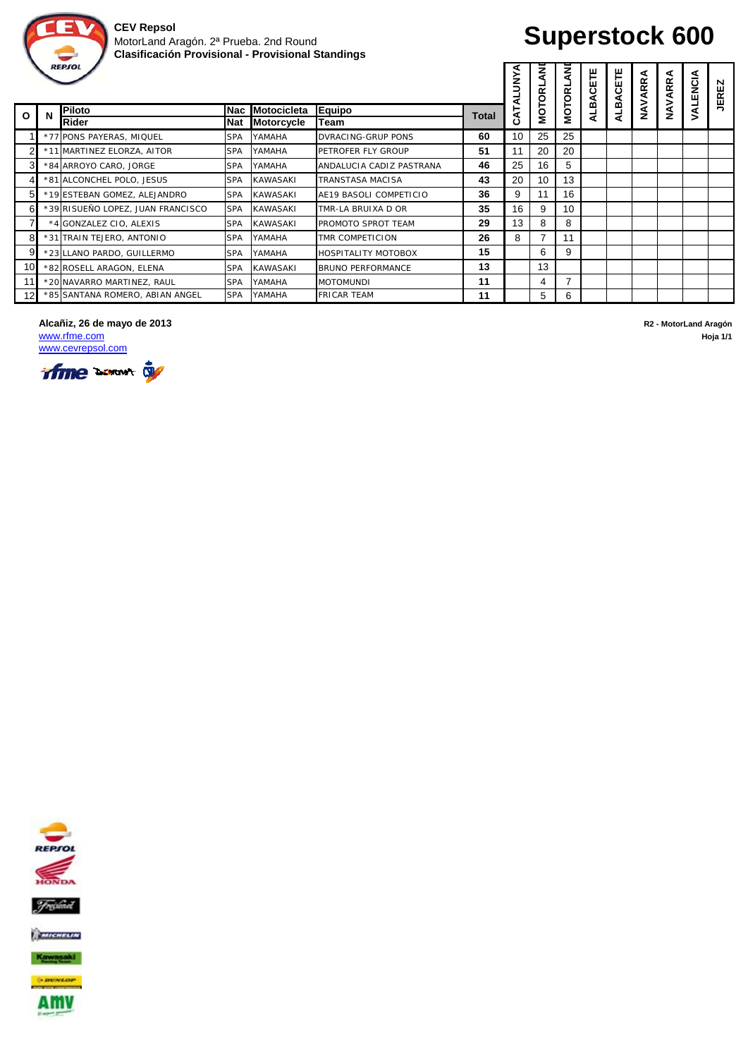

# **Superstock 600**

**D D**

|     |   | REPJOL                            |            |                    |                            |       | ⋖<br>š<br>ব | z<br>g | ₹<br>MOTORL, | ALBACETE | CETE   | <b>ARRA</b> | NAVARRA | ENCIA | N<br><b>JERE</b> |
|-----|---|-----------------------------------|------------|--------------------|----------------------------|-------|-------------|--------|--------------|----------|--------|-------------|---------|-------|------------------|
| O   | N | Piloto<br>Rider                   | <b>Nac</b> | <b>Motocicleta</b> | <b>Equipo</b>              | Total | 도<br>ت      | NOL    |              |          | ق<br>⋜ | ∕<br>≷      |         |       |                  |
|     |   |                                   | Nat        | <b>Motorcycle</b>  | Team                       |       |             |        |              |          |        |             |         |       |                  |
|     |   | *77 PONS PAYERAS, MIQUEL          | <b>SPA</b> | YAMAHA             | DVRACING-GRUP PONS         | 60    | 10          | 25     | 25           |          |        |             |         |       |                  |
|     |   | *11 MARTINEZ ELORZA, AITOR        | <b>SPA</b> | YAMAHA             | PETROFER FLY GROUP         | 51    | 11          | 20     | 20           |          |        |             |         |       |                  |
| 3   |   | *84 ARROYO CARO, JORGE            | <b>SPA</b> | YAMAHA             | ANDALUCIA CADIZ PASTRANA   | 46    | 25          | 16     | 5            |          |        |             |         |       |                  |
|     |   | *81 ALCONCHEL POLO, JESUS         | <b>SPA</b> | <b>KAWASAKI</b>    | TRANSTASA MACISA           | 43    | 20          | 10     | 13           |          |        |             |         |       |                  |
| 5   |   | *19 ESTEBAN GOMEZ, ALEJANDRO      | <b>SPA</b> | <b>KAWASAKI</b>    | AE19 BASOLI COMPETICIO     | 36    | 9           | 11     | 16           |          |        |             |         |       |                  |
| 6   |   | *39 RISUEÑO LOPEZ, JUAN FRANCISCO | <b>SPA</b> | <b>KAWASAKI</b>    | TMR-LA BRUIXA D OR         | 35    | 16          | 9      | 10           |          |        |             |         |       |                  |
| 7   |   | *4 GONZALEZ CIO, ALEXIS           | <b>SPA</b> | <b>KAWASAKI</b>    | PROMOTO SPROT TEAM         | 29    | 13          | 8      | 8            |          |        |             |         |       |                  |
| 8   |   | *31 TRAIN TEJERO, ANTONIO         | <b>SPA</b> | YAMAHA             | <b>TMR COMPETICION</b>     | 26    | 8           |        | 11           |          |        |             |         |       |                  |
| 9   |   | *23 LLANO PARDO, GUILLERMO        | <b>SPA</b> | YAMAHA             | <b>HOSPITALITY MOTOBOX</b> | 15    |             | 6      | 9            |          |        |             |         |       |                  |
| 10I |   | *82 ROSELL ARAGON, ELENA          | <b>SPA</b> | <b>KAWASAKI</b>    | <b>BRUNO PERFORMANCE</b>   | 13    |             | 13     |              |          |        |             |         |       |                  |
|     |   | *20 NAVARRO MARTINEZ, RAUL        | SPA        | YAMAHA             | <b>MOTOMUNDI</b>           | 11    |             | 4      |              |          |        |             |         |       |                  |
| 12I |   | *85 SANTANA ROMERO, ABIAN ANGEL   | <b>SPA</b> | YAMAHA             | <b>FRICAR TEAM</b>         | 11    |             | 5      | 6            |          |        |             |         |       |                  |

**Alcañiz, 26 de mayo de 2013 R2 - MotorLand Aragón** www.rfme.com **Hoja 1/1**









AMV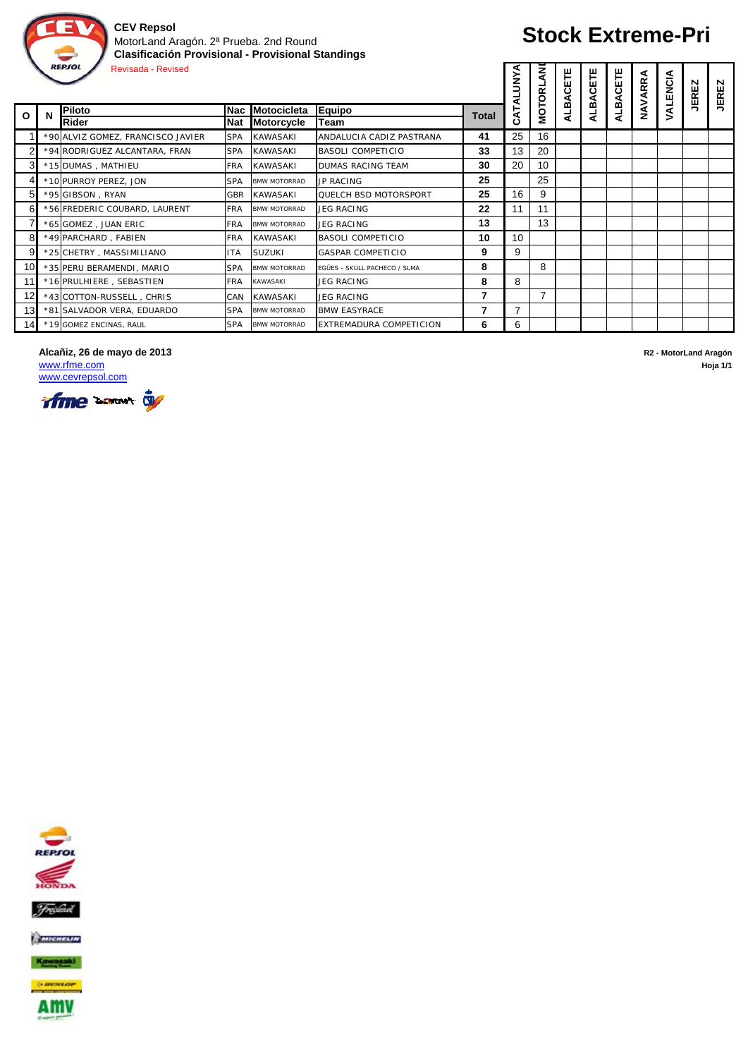

## **Stock Extreme-Pri**

|                 | <b>REPSOL</b><br><b>Revisada - Revised</b> |                                   |            |                     |                              |       |          |                |      | CETE<br>⋖ | CETE<br>⋖  | NAVARRA | VALENCIA | N<br><b>JERE</b> | N<br><b>JERE</b> |
|-----------------|--------------------------------------------|-----------------------------------|------------|---------------------|------------------------------|-------|----------|----------------|------|-----------|------------|---------|----------|------------------|------------------|
| $\mathbf{o}$    | N                                          | Piloto                            | lNac       | Motocicleta         | Equipo                       | Total | CATALUNY | <b>MOTORL</b>  | ALBA | ALB,      | <b>ALB</b> |         |          |                  |                  |
|                 |                                            | Rider                             | <b>Nat</b> | <b>Motorcycle</b>   | Team                         |       |          |                |      |           |            |         |          |                  |                  |
|                 |                                            | *90 ALVIZ GOMEZ, FRANCISCO JAVIER | <b>SPA</b> | <b>KAWASAKI</b>     | ANDALUCIA CADIZ PASTRANA     | 41    | 25       | 16             |      |           |            |         |          |                  |                  |
|                 |                                            | *94 RODRIGUEZ ALCANTARA, FRAN     | <b>SPA</b> | <b>KAWASAKI</b>     | <b>BASOLI COMPETICIO</b>     | 33    | 13       | 20             |      |           |            |         |          |                  |                  |
| 3               |                                            | *15 DUMAS, MATHIEU                | <b>FRA</b> | <b>KAWASAKI</b>     | <b>DUMAS RACING TEAM</b>     | 30    | 20       | 10             |      |           |            |         |          |                  |                  |
|                 |                                            | *10 PURROY PEREZ, JON             | <b>SPA</b> | <b>BMW MOTORRAD</b> | <b>JP RACING</b>             | 25    |          | 25             |      |           |            |         |          |                  |                  |
| 51              |                                            | *95 GIBSON, RYAN                  | GBR        | <b>KAWASAKI</b>     | <b>QUELCH BSD MOTORSPORT</b> | 25    | 16       | 9              |      |           |            |         |          |                  |                  |
| 6               |                                            | *56 FREDERIC COUBARD, LAURENT     | <b>FRA</b> | <b>BMW MOTORRAD</b> | JEG RACING                   | 22    | 11       | 11             |      |           |            |         |          |                  |                  |
|                 |                                            | *65 GOMEZ, JUAN ERIC              | <b>FRA</b> | <b>BMW MOTORRAD</b> | JEG RACING                   | 13    |          | 13             |      |           |            |         |          |                  |                  |
| 8               |                                            | *49 PARCHARD, FABIEN              | <b>FRA</b> | <b>KAWASAKI</b>     | BASOLI COMPETICIO            | 10    | 10       |                |      |           |            |         |          |                  |                  |
| 9               |                                            | *25 CHETRY, MASSIMILIANO          | <b>ITA</b> | <b>SUZUKI</b>       | <b>GASPAR COMPETICIO</b>     | 9     | 9        |                |      |           |            |         |          |                  |                  |
| 10 <sup>°</sup> |                                            | *35 PERU BERAMENDI, MARIO         | <b>SPA</b> | <b>BMW MOTORRAD</b> | EGÜES - SKULL PACHECO / SLMA | 8     |          | 8              |      |           |            |         |          |                  |                  |
| 11              |                                            | *16 PRULHIERE, SEBASTIEN          | <b>FRA</b> | <b>KAWASAKI</b>     | JEG RACING                   | 8     | 8        |                |      |           |            |         |          |                  |                  |
| 12              |                                            | *43 COTTON-RUSSELL, CHRIS         | CAN        | <b>KAWASAKI</b>     | <b>JEG RACING</b>            | 7     |          | $\overline{7}$ |      |           |            |         |          |                  |                  |
| 13              |                                            | *81 SALVADOR VERA, EDUARDO        | <b>SPA</b> | <b>BMW MOTORRAD</b> | <b>BMW EASYRACE</b>          | 7     | 7        |                |      |           |            |         |          |                  |                  |
| 14              |                                            | *19 GOMEZ ENCINAS, RAUL           | <b>SPA</b> | <b>BMW MOTORRAD</b> | EXTREMADURA COMPETICION      | 6     | 6        |                |      |           |            |         |          |                  |                  |

### **Alcañiz, 26 de mayo de 2013 R2 - MotorLand Aragón**

www.rfme.com **Hoja 1/1** www.cevrepsol.com